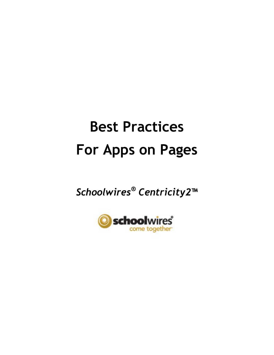# **Best Practices For Apps on Pages**

*Schoolwires® Centricity2***™**

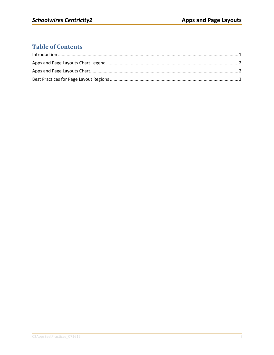## **Table of Contents**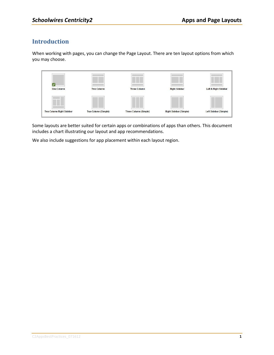#### <span id="page-4-0"></span>**Introduction**

When working with pages, you can change the Page Layout. There are ten layout options from which you may choose.



Some layouts are better suited for certain apps or combinations of apps than others. This document includes a chart illustrating our layout and app recommendations.

We also include suggestions for app placement within each layout region.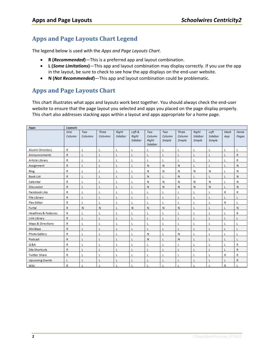### <span id="page-5-0"></span>**Apps and Page Layouts Chart Legend**

The legend below is used with the *Apps and Page Layouts Chart*.

- **R (***Recommended***)**—This is a preferred app and layout combination.
- **L (***Some Limitations***)**—This app and layout combination may display correctly. If you use the app in the layout, be sure to check to see how the app displays on the end-user website.
- **N (***Not Recommended***)**—This app and layout combination could be problematic.

#### <span id="page-5-1"></span>**Apps and Page Layouts Chart**

This chart illustrates what apps and layouts work best together. You should always check the end-user website to ensure that the page layout you selected and apps you placed on the page display properly. This chart also addresses stacking apps within a layout and apps appropriate for a home page.

| Apps                            | <b>Layouts</b> |                |                  |                  |                            |                                   |                         |                                  |                            |                           |              |               |
|---------------------------------|----------------|----------------|------------------|------------------|----------------------------|-----------------------------------|-------------------------|----------------------------------|----------------------------|---------------------------|--------------|---------------|
|                                 | One<br>Column  | Two<br>Columns | Three<br>Columns | Right<br>Sidebar | Left &<br>Right<br>Sidebar | Two<br>Column<br>Right<br>Sidebar | Two<br>Column<br>Simple | <b>Three</b><br>Column<br>Simple | Right<br>Sidebar<br>Simple | Left<br>Sidebar<br>Simple | Stack<br>App | Home<br>Pages |
| Alumni Directory                | R              | L              | L                | L                | L                          | L                                 | L                       | Ľ                                | L                          | L                         | Ľ            | L             |
| Announcements                   | R              | L              | L                | L                | L                          | L                                 | L                       | L                                | L                          | L                         | L            | R             |
| Article Library                 | $\mathsf{R}$   | L              | L                | L                | L                          | L                                 | L                       | L                                | L                          | Ľ                         |              | $\mathsf{R}$  |
| Assignment                      | R              | L              | L                | L                | L                          | N                                 | N                       | N                                | Ł                          | L                         | L            | N             |
| Blog                            | R              | L              | L                | L                | L                          | N                                 | N                       | N                                | N                          | N                         | L            | Ν             |
| <b>Book List</b>                | R              | L              | ī                | L                | L                          | N                                 | L                       | N                                | L                          | Ŀ                         | г            | N             |
| Calendar                        | R              | L              | Ł                | Ł                | L                          | N                                 | N                       | N                                | N                          | N                         | L            | N             |
| Discussion                      | $\mathsf{R}$   | L              | L                | L                | L                          | N                                 | N                       | N                                | N                          | N                         | L            | N             |
| Facebook Like                   | R              | L              | L                | Ł                | L                          | L                                 | Ł                       | L                                |                            | Ł                         | R            | $\mathsf{R}$  |
| <b>File Library</b>             | R              | L              | L                | $\mathsf{L}$     | L                          | L                                 | L                       | L                                | L                          | L                         |              | Ł             |
| <b>Flex Editor</b>              | R              | L              | $\mathbf{I}$     | L                | L                          | L                                 | L                       | Ľ                                | ı                          | L                         | R            | L             |
| Furtal                          | R              | N              | N                | L                | N                          | N                                 | N                       | N                                | L                          | L                         |              | N             |
| <b>Headlines &amp; Features</b> | $\mathsf{R}$   | L              | L                |                  | L                          | Ŀ                                 | L                       | L                                |                            | L                         |              | $\mathsf{R}$  |
| Link Library                    | R              | L              | ı                | Ł                | L                          | L                                 | L                       | L                                | L                          | L                         |              | Ł             |
| Maps & Directions               | R              | Ł              | L                | Ł                | L                          | Ł                                 | Ł                       | L                                | Ł                          |                           |              | L             |
| MiniBase                        | R              | L              | L                | L                | L                          | L                                 | L                       | L                                | L                          | L                         |              | L             |
| <b>Photo Gallery</b>            | R              | L              | L                | L                | L                          | N                                 | L                       | N                                | L                          | L                         | L            | Ł             |
| Podcast                         | $\mathsf{R}$   | L              | L                | Ł                | L                          | N                                 | L                       | N                                | L                          | L                         | L            | Ł             |
| $Q$ &A                          | R              | L              | $\mathsf{L}$     | L                | L                          | L                                 | L                       | L                                |                            | L                         |              | $\mathsf{R}$  |
| <b>Site Shortcuts</b>           | $\mathsf{R}$   | L              | L                | L                | L                          | L                                 | L                       | L                                | L                          | L                         |              | $\mathsf{R}$  |
| <b>Twitter Share</b>            | R              | L              | L                | Ł                | L                          | L                                 | Ł                       | L                                |                            | Ł                         | R            | R             |
| <b>Upcoming Events</b>          | L              | L              | L                | L                | Ŀ                          | L                                 | L                       | L                                | L                          | L                         | L            | R             |
| Wiki                            | R              |                |                  |                  |                            |                                   |                         |                                  |                            |                           | R            |               |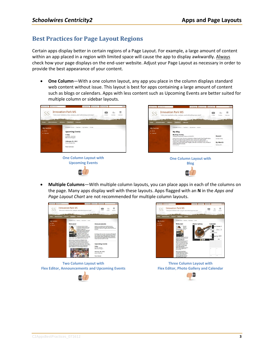### <span id="page-6-0"></span>**Best Practices for Page Layout Regions**

Certain apps display better in certain regions of a Page Layout. For example, a large amount of content within an app placed in a region with limited space will cause the app to display awkwardly. Always check how your page displays on the end-user website. Adjust your Page Layout as necessary in order to provide the best appearance of your content.

 **One Column**—With a one column layout, any app you place in the column displays standard web content without issue. This layout is best for apps containing a large amount of content such as blogs or calendars. Apps with less content such as Upcoming Events are better suited for multiple column or sidebar layouts.



 **Multiple Columns**—With multiple column layouts, you can place apps in each of the columns on the page. Many apps display well with these layouts. Apps flagged with an **N** in the *Apps and Page Layout Chart* are not recommended for multiple column layouts.



**Two Column Layout with Flex Editor, Announcements and Upcoming Events**





**Three Column Layout with Flex Editor, Photo Gallery and Calendar**